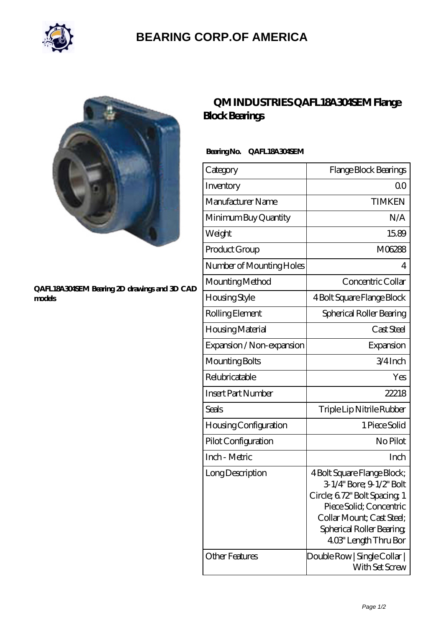

## **[BEARING CORP.OF AMERICA](https://bluemondayreview.com)**



#### **[QAFL18A304SEM Bearing 2D drawings and 3D CAD](https://bluemondayreview.com/pic-175476.html) [models](https://bluemondayreview.com/pic-175476.html)**

### **[QM INDUSTRIES QAFL18A304SEM Flange](https://bluemondayreview.com/be-175476-qm-industries-qafl18a304sem-flange-block-bearings.html) [Block Bearings](https://bluemondayreview.com/be-175476-qm-industries-qafl18a304sem-flange-block-bearings.html)**

### **Bearing No. QAFL18A304SEM**

| Category                           | Flange Block Bearings                                                                                                                                                                                |
|------------------------------------|------------------------------------------------------------------------------------------------------------------------------------------------------------------------------------------------------|
| Inventory                          | 0 <sup>0</sup>                                                                                                                                                                                       |
| Manufacturer Name                  | <b>TIMKEN</b>                                                                                                                                                                                        |
| Minimum Buy Quantity               | N/A                                                                                                                                                                                                  |
| Weight                             | 15.89                                                                                                                                                                                                |
| Product Group                      | M06288                                                                                                                                                                                               |
| Number of Mounting Holes           | 4                                                                                                                                                                                                    |
| Mounting Method                    | Concentric Collar                                                                                                                                                                                    |
| <b>Housing Style</b>               | 4 Bolt Square Flange Block                                                                                                                                                                           |
| Rolling Element                    | Spherical Roller Bearing                                                                                                                                                                             |
| Housing Material                   | Cast Steel                                                                                                                                                                                           |
| Expansion / Non-expansion          | Expansion                                                                                                                                                                                            |
| Mounting Bolts                     | 3/4Inch                                                                                                                                                                                              |
| Relubricatable                     | Yes                                                                                                                                                                                                  |
| <b>Insert Part Number</b>          | 22218                                                                                                                                                                                                |
| Seals                              | Triple Lip Nitrile Rubber                                                                                                                                                                            |
| <b>Housing Configuration</b>       | 1 Piece Solid                                                                                                                                                                                        |
| Pilot Configuration                | No Pilot                                                                                                                                                                                             |
| Inch - Metric                      | Inch                                                                                                                                                                                                 |
| Long Description<br>Other Features | 4 Bolt Square Flange Block;<br>3-1/4" Bore; 9-1/2" Bolt<br>Circle; 6.72" Bolt Spacing, 1<br>Piece Solid; Concentric<br>Collar Mount; Cast Steel;<br>Spherical Roller Bearing<br>403" Length Thru Bor |
|                                    | Double Row   Single Collar  <br>With Set Screw                                                                                                                                                       |